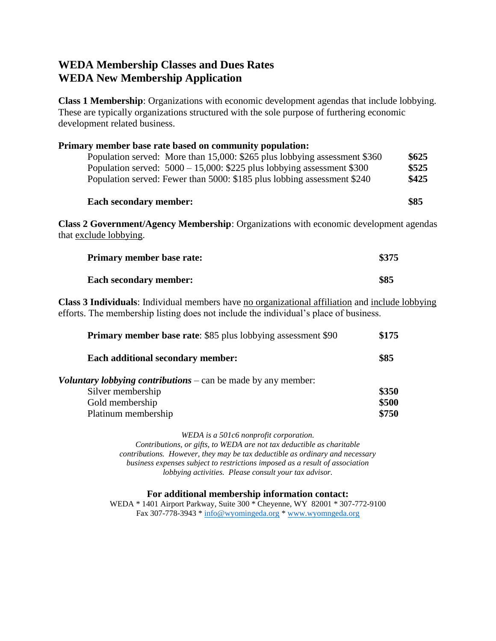## **WEDA Membership Classes and Dues Rates WEDA New Membership Application**

**Class 1 Membership**: Organizations with economic development agendas that include lobbying. These are typically organizations structured with the sole purpose of furthering economic development related business.

| Primary member base rate based on community population:                                                                |       |  |  |
|------------------------------------------------------------------------------------------------------------------------|-------|--|--|
| Population served: More than 15,000: \$265 plus lobbying assessment \$360                                              | \$625 |  |  |
| Population served: $5000 - 15,000$ : \$225 plus lobbying assessment \$300                                              | \$525 |  |  |
| Population served: Fewer than 5000: \$185 plus lobbing assessment \$240                                                | \$425 |  |  |
| <b>Each secondary member:</b>                                                                                          | \$85  |  |  |
| <b>Class 2 Government/Agency Membership:</b> Organizations with economic development agendas<br>that exclude lobbying. |       |  |  |
| \$375<br><b>Primary member base rate:</b>                                                                              |       |  |  |

**Class 3 Individuals**: Individual members have no organizational affiliation and include lobbying efforts. The membership listing does not include the individual's place of business.

| <b>Primary member base rate: \$85 plus lobbying assessment \$90</b>         |       |
|-----------------------------------------------------------------------------|-------|
| Each additional secondary member:                                           | \$85  |
| <b><i>Voluntary lobbying contributions – can be made by any member:</i></b> |       |
| Silver membership                                                           | \$350 |
| Gold membership                                                             | \$500 |
| Platinum membership                                                         | \$750 |
|                                                                             |       |

*WEDA is a 501c6 nonprofit corporation.*

*Contributions, or gifts, to WEDA are not tax deductible as charitable contributions. However, they may be tax deductible as ordinary and necessary business expenses subject to restrictions imposed as a result of association lobbying activities. Please consult your tax advisor.*

### **For additional membership information contact:**

WEDA \* 1401 Airport Parkway, Suite 300 \* Cheyenne, WY 82001 \* 307-772-9100 Fax 307-778-3943 \* [info@wyomingeda.org](mailto:info@wyomingeda.org) \* [www.wyomngeda.org](http://www.wyomngeda.org/)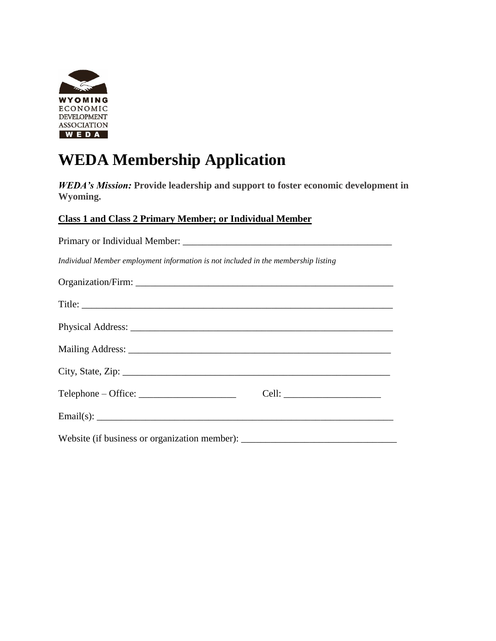

# **WEDA Membership Application**

*WEDA's Mission:* **Provide leadership and support to foster economic development in Wyoming.**

### **Class 1 and Class 2 Primary Member; or Individual Member**

| Individual Member employment information is not included in the membership listing |  |  |
|------------------------------------------------------------------------------------|--|--|
|                                                                                    |  |  |
|                                                                                    |  |  |
|                                                                                    |  |  |
|                                                                                    |  |  |
|                                                                                    |  |  |
| $Telephone - Office:$                                                              |  |  |
| Email(s): $\_\_\_\_\_\_\_\_\$                                                      |  |  |
| Website (if business or organization member): ___________________________________  |  |  |